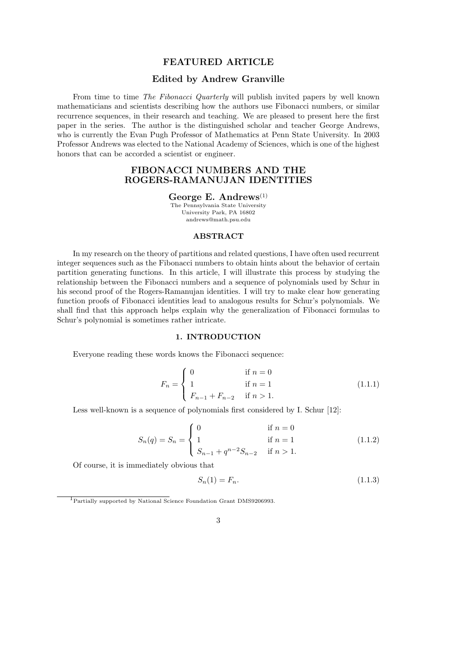# FEATURED ARTICLE

## Edited by Andrew Granville

From time to time The Fibonacci Quarterly will publish invited papers by well known mathematicians and scientists describing how the authors use Fibonacci numbers, or similar recurrence sequences, in their research and teaching. We are pleased to present here the first paper in the series. The author is the distinguished scholar and teacher George Andrews, who is currently the Evan Pugh Professor of Mathematics at Penn State University. In 2003 Professor Andrews was elected to the National Academy of Sciences, which is one of the highest honors that can be accorded a scientist or engineer.

# FIBONACCI NUMBERS AND THE ROGERS-RAMANUJAN IDENTITIES

#### George E. Andrews $^{(1)}$

The Pennsylvania State University University Park, PA 16802 andrews@math.psu.edu

## ABSTRACT

In my research on the theory of partitions and related questions, I have often used recurrent integer sequences such as the Fibonacci numbers to obtain hints about the behavior of certain partition generating functions. In this article, I will illustrate this process by studying the relationship between the Fibonacci numbers and a sequence of polynomials used by Schur in his second proof of the Rogers-Ramanujan identities. I will try to make clear how generating function proofs of Fibonacci identities lead to analogous results for Schur's polynomials. We shall find that this approach helps explain why the generalization of Fibonacci formulas to Schur's polynomial is sometimes rather intricate.

## 1. INTRODUCTION

Everyone reading these words knows the Fibonacci sequence:

$$
F_n = \begin{cases} 0 & \text{if } n = 0\\ 1 & \text{if } n = 1\\ F_{n-1} + F_{n-2} & \text{if } n > 1. \end{cases}
$$
 (1.1.1)

Less well-known is a sequence of polynomials first considered by I. Schur [12]:

$$
S_n(q) = S_n = \begin{cases} 0 & \text{if } n = 0\\ 1 & \text{if } n = 1\\ S_{n-1} + q^{n-2} S_{n-2} & \text{if } n > 1. \end{cases}
$$
 (1.1.2)

Of course, it is immediately obvious that

$$
S_n(1) = F_n. \tag{1.1.3}
$$

<sup>1</sup> Partially supported by National Science Foundation Grant DMS9206993.

<sup>3</sup>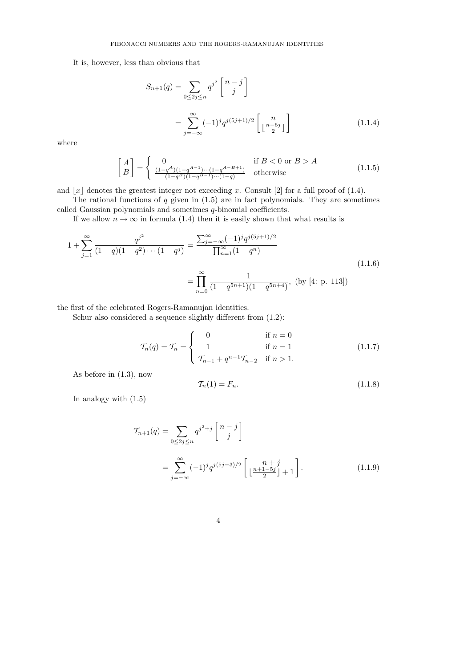It is, however, less than obvious that

$$
S_{n+1}(q) = \sum_{0 \le 2j \le n} q^{j^2} \begin{bmatrix} n-j \\ j \end{bmatrix}
$$

$$
= \sum_{j=-\infty}^{\infty} (-1)^j q^{j(5j+1)/2} \begin{bmatrix} n \\ \lfloor \frac{n-5j}{2} \rfloor \end{bmatrix}
$$
(1.1.4)

where

$$
\begin{bmatrix} A \\ B \end{bmatrix} = \begin{cases} 0 & \text{if } B < 0 \text{ or } B > A \\ \frac{(1-q^A)(1-q^A-1)\cdots(1-q^{A-B+1})}{(1-q^B)(1-q^{B-1})\cdots(1-q)} & \text{otherwise} \end{cases}
$$
(1.1.5)

and  $|x|$  denotes the greatest integer not exceeding x. Consult [2] for a full proof of (1.4).

The rational functions of  $q$  given in  $(1.5)$  are in fact polynomials. They are sometimes called Gaussian polynomials and sometimes  $q$ -binomial coefficients.

If we allow  $n \to \infty$  in formula (1.4) then it is easily shown that what results is

$$
1 + \sum_{j=1}^{\infty} \frac{q^{j^2}}{(1-q)(1-q^2)\cdots(1-q^j)} = \frac{\sum_{j=-\infty}^{\infty} (-1)^j q^{j(5j+1)/2}}{\prod_{n=1}^{\infty} (1-q^n)} = \prod_{n=0}^{\infty} \frac{1}{(1-q^{5n+1})(1-q^{5n+4})}, \text{ (by [4: p. 113])}
$$
\n(1.1.6)

the first of the celebrated Rogers-Ramanujan identities.

Schur also considered a sequence slightly different from  $(1.2)$ :

$$
\mathcal{T}_n(q) = \mathcal{T}_n = \begin{cases}\n0 & \text{if } n = 0 \\
1 & \text{if } n = 1 \\
\mathcal{T}_{n-1} + q^{n-1}\mathcal{T}_{n-2} & \text{if } n > 1.\n\end{cases}
$$
\n(1.1.7)

As before in (1.3), now

$$
\mathcal{T}_n(1) = F_n. \tag{1.1.8}
$$

In analogy with (1.5)

$$
\mathcal{T}_{n+1}(q) = \sum_{0 \le 2j \le n} q^{j^2+j} \begin{bmatrix} n-j \\ j \end{bmatrix}
$$
  
= 
$$
\sum_{j=-\infty}^{\infty} (-1)^j q^{j(5j-3)/2} \begin{bmatrix} n+j \\ \lfloor \frac{n+1-5j}{2} \rfloor + 1 \end{bmatrix}.
$$
 (1.1.9)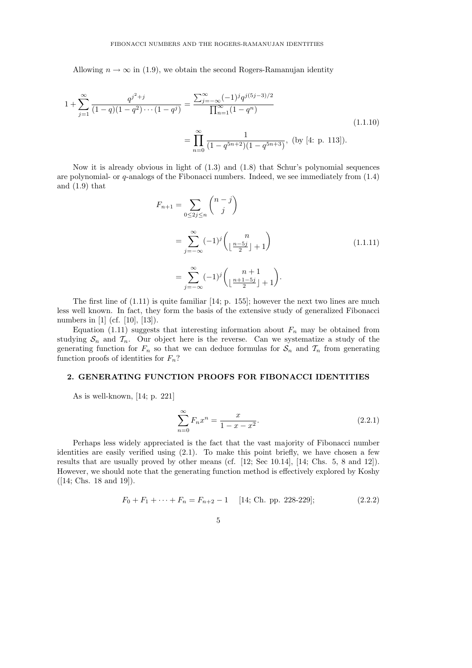Allowing  $n \to \infty$  in (1.9), we obtain the second Rogers-Ramanujan identity

$$
1 + \sum_{j=1}^{\infty} \frac{q^{j^2+j}}{(1-q)(1-q^2)\cdots(1-q^j)} = \frac{\sum_{j=-\infty}^{\infty} (-1)^j q^{j(5j-3)/2}}{\prod_{n=1}^{\infty} (1-q^n)} = \prod_{n=0}^{\infty} \frac{1}{(1-q^{5n+2})(1-q^{5n+3})},
$$
 (by [4: p. 113]). (1.1.10)

Now it is already obvious in light of (1.3) and (1.8) that Schur's polynomial sequences are polynomial- or q-analogs of the Fibonacci numbers. Indeed, we see immediately from (1.4) and (1.9) that

$$
F_{n+1} = \sum_{0 \le 2j \le n} {n-j \choose j}
$$
  
= 
$$
\sum_{j=-\infty}^{\infty} (-1)^j {n \choose \lfloor \frac{n-5j}{2} \rfloor + 1}
$$
  
= 
$$
\sum_{j=-\infty}^{\infty} (-1)^j {n+1 \choose \lfloor \frac{n+1-5j}{2} \rfloor + 1}.
$$
 (1.1.11)

The first line of (1.11) is quite familiar [14; p. 155]; however the next two lines are much less well known. In fact, they form the basis of the extensive study of generalized Fibonacci numbers in [1] (cf. [10], [13]).

Equation (1.11) suggests that interesting information about  $F_n$  may be obtained from studying  $S_n$  and  $T_n$ . Our object here is the reverse. Can we systematize a study of the generating function for  $F_n$  so that we can deduce formulas for  $S_n$  and  $\mathcal{T}_n$  from generating function proofs of identities for  $F_n$ ?

### 2. GENERATING FUNCTION PROOFS FOR FIBONACCI IDENTITIES

As is well-known, [14; p. 221]

$$
\sum_{n=0}^{\infty} F_n x^n = \frac{x}{1 - x - x^2}.
$$
\n(2.2.1)

Perhaps less widely appreciated is the fact that the vast majority of Fibonacci number identities are easily verified using (2.1). To make this point briefly, we have chosen a few results that are usually proved by other means (cf. [12; Sec 10.14], [14; Chs. 5, 8 and 12]). However, we should note that the generating function method is effectively explored by Koshy ([14; Chs. 18 and 19]).

$$
F_0 + F_1 + \dots + F_n = F_{n+2} - 1 \quad [14; \text{ Ch. pp. 228-229}]; \tag{2.2.2}
$$

$$
\overline{5}
$$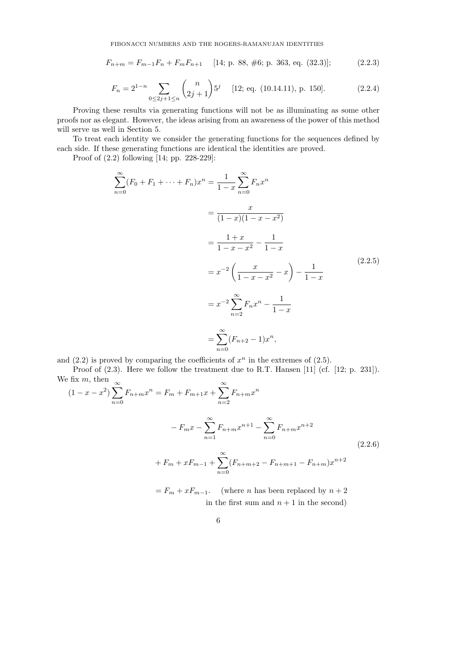$$
F_{n+m} = F_{m-1}F_n + F_m F_{n+1} \quad [14; \text{ p. 88, #6; p. 363, eq. (32.3)];} \tag{2.2.3}
$$

$$
F_n = 2^{1-n} \sum_{0 \le 2j+1 \le n} \binom{n}{2j+1} 5^j \qquad [12; \text{ eq. (10.14.11), p. 150].} \tag{2.2.4}
$$

Proving these results via generating functions will not be as illuminating as some other proofs nor as elegant. However, the ideas arising from an awareness of the power of this method will serve us well in Section 5.

To treat each identity we consider the generating functions for the sequences defined by each side. If these generating functions are identical the identities are proved.

Proof of (2.2) following [14; pp. 228-229]:

$$
\sum_{n=0}^{\infty} (F_0 + F_1 + \dots + F_n)x^n = \frac{1}{1-x} \sum_{n=0}^{\infty} F_n x^n
$$
  
= 
$$
\frac{x}{(1-x)(1-x-x^2)}
$$
  
= 
$$
\frac{1+x}{1-x-x^2} - \frac{1}{1-x}
$$
  
= 
$$
x^{-2} \left(\frac{x}{1-x-x^2} - x\right) - \frac{1}{1-x}
$$
  
= 
$$
x^{-2} \sum_{n=2}^{\infty} F_n x^n - \frac{1}{1-x}
$$
  
= 
$$
\sum_{n=0}^{\infty} (F_{n+2} - 1)x^n,
$$
 (2.2.5)

and  $(2.2)$  is proved by comparing the coefficients of  $x^n$  in the extremes of  $(2.5)$ .

Proof of  $(2.3)$ . Here we follow the treatment due to R.T. Hansen [11] (cf. [12; p. 231]).  $\infty$ 

We fix m, then  
\n
$$
(1 - x - x^2) \sum_{n=0}^{\infty} F_{n+m} x^n = F_m + F_{m+1} x + \sum_{n=2}^{\infty} F_{n+m} x^n
$$
\n
$$
-F_m x - \sum_{n=1}^{\infty} F_{n+m} x^{n+1} - \sum_{n=0}^{\infty} F_{n+m} x^{n+2}
$$
\n
$$
+ F_m + x F_{m-1} + \sum_{n=0}^{\infty} (F_{n+m+2} - F_{n+m+1} - F_{n+m}) x^{n+2}
$$
\n
$$
- F_{n+m} F_m \qquad \text{(where n has been replaced by } n+2)
$$

 $F_m + xF_{m-1}$ . (where *n* has been replaced by  $n+2$ in the first sum and  $n + 1$  in the second)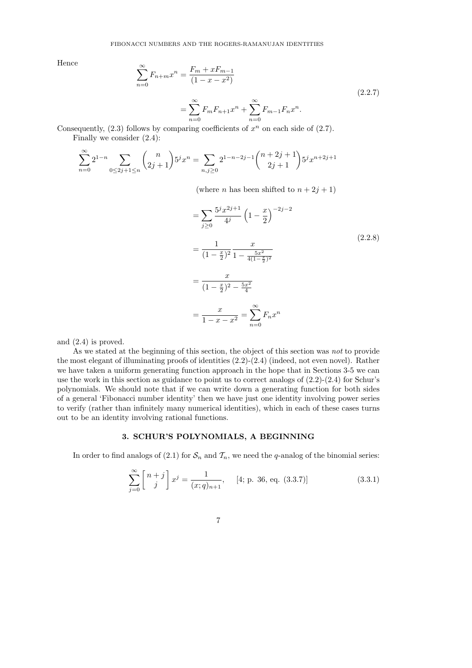Hence

$$
\sum_{n=0}^{\infty} F_{n+m} x^n = \frac{F_m + x F_{m-1}}{(1 - x - x^2)}
$$
\n
$$
= \sum_{n=0}^{\infty} F_m F_{n+1} x^n + \sum_{n=0}^{\infty} F_{m-1} F_n x^n.
$$
\n(2.2.7)

Consequently,  $(2.3)$  follows by comparing coefficients of  $x^n$  on each side of  $(2.7)$ . Finally we consider (2.4):

$$
\sum_{n=0}^{\infty} 2^{1-n} \sum_{0 \le 2j+1 \le n} \binom{n}{2j+1} 5^j x^n = \sum_{n,j \ge 0} 2^{1-n-2j-1} \binom{n+2j+1}{2j+1} 5^j x^{n+2j+1}
$$

(where *n* has been shifted to  $n + 2j + 1$ )

$$
= \sum_{j\geq 0} \frac{5^{j} x^{2j+1}}{4^{j}} \left(1 - \frac{x}{2}\right)^{-2j-2}
$$
\n
$$
= \frac{1}{(1 - \frac{x}{2})^{2}} \frac{x}{1 - \frac{5x^{2}}{4(1 - \frac{x}{2})^{2}}}
$$
\n
$$
= \frac{x}{(1 - \frac{x}{2})^{2} - \frac{5x^{2}}{4}}
$$
\n
$$
= \frac{x}{1 - x - x^{2}} = \sum_{n=0}^{\infty} F_{n} x^{n}
$$
\n(2.2.8)

and (2.4) is proved.

As we stated at the beginning of this section, the object of this section was *not* to provide the most elegant of illuminating proofs of identities (2.2)-(2.4) (indeed, not even novel). Rather we have taken a uniform generating function approach in the hope that in Sections 3-5 we can use the work in this section as guidance to point us to correct analogs of (2.2)-(2.4) for Schur's polynomials. We should note that if we can write down a generating function for both sides of a general 'Fibonacci number identity' then we have just one identity involving power series to verify (rather than infinitely many numerical identities), which in each of these cases turns out to be an identity involving rational functions.

#### 3. SCHUR'S POLYNOMIALS, A BEGINNING

In order to find analogs of (2.1) for  $S_n$  and  $\mathcal{T}_n$ , we need the q-analog of the binomial series:

$$
\sum_{j=0}^{\infty} \begin{bmatrix} n+j \\ j \end{bmatrix} x^j = \frac{1}{(x;q)_{n+1}}, \quad [4; \text{p. 36, eq. (3.3.7)}]
$$
 (3.3.1)

$$
\phantom{0}7
$$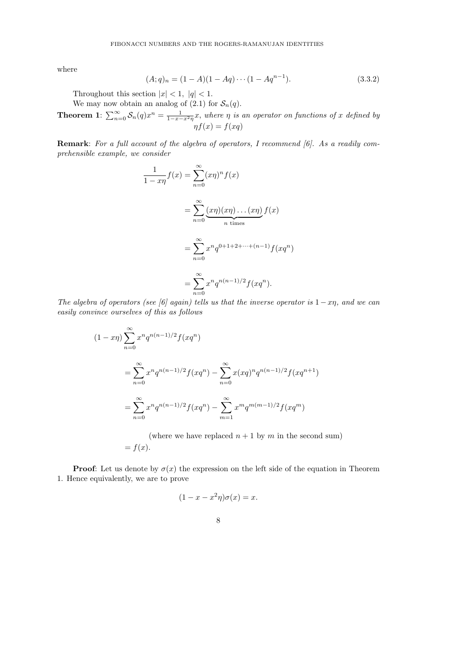where

$$
(A;q)_n = (1-A)(1-Aq)\cdots(1-Aq^{n-1}).
$$
\n(3.3.2)

Throughout this section  $|x| < 1$ ,  $|q| < 1$ .

We may now obtain an analog of (2.1) for  $S_n(q)$ .

**Theorem 1**:  $\sum_{n=0}^{\infty} S_n(q)x^n = \frac{1}{1-x-x^2\eta}x$ , where  $\eta$  is an operator on functions of x defined by  $\eta f(x) = f(xq)$ 

Remark: For a full account of the algebra of operators, I recommend [6]. As a readily comprehensible example, we consider

$$
\frac{1}{1 - x\eta} f(x) = \sum_{n=0}^{\infty} (x\eta)^n f(x)
$$

$$
= \sum_{n=0}^{\infty} \underbrace{(x\eta)(x\eta)\dots(x\eta)}_{n \text{ times}} f(x)
$$

$$
= \sum_{n=0}^{\infty} x^n q^{0 + 1 + 2 + \dots + (n-1)} f(xq^n)
$$

$$
= \sum_{n=0}^{\infty} x^n q^{n(n-1)/2} f(xq^n).
$$

The algebra of operators (see [6] again) tells us that the inverse operator is  $1-x\eta$ , and we can easily convince ourselves of this as follows

$$
(1 - x\eta) \sum_{n=0}^{\infty} x^n q^{n(n-1)/2} f(xq^n)
$$
  
= 
$$
\sum_{n=0}^{\infty} x^n q^{n(n-1)/2} f(xq^n) - \sum_{n=0}^{\infty} x (xq)^n q^{n(n-1)/2} f(xq^{n+1})
$$
  
= 
$$
\sum_{n=0}^{\infty} x^n q^{n(n-1)/2} f(xq^n) - \sum_{m=1}^{\infty} x^m q^{m(m-1)/2} f(xq^m)
$$

(where we have replaced  $n + 1$  by m in the second sum)  $= f(x).$ 

**Proof:** Let us denote by  $\sigma(x)$  the expression on the left side of the equation in Theorem 1. Hence equivalently, we are to prove

$$
(1 - x - x^2 \eta)\sigma(x) = x.
$$

$$
8 \\
$$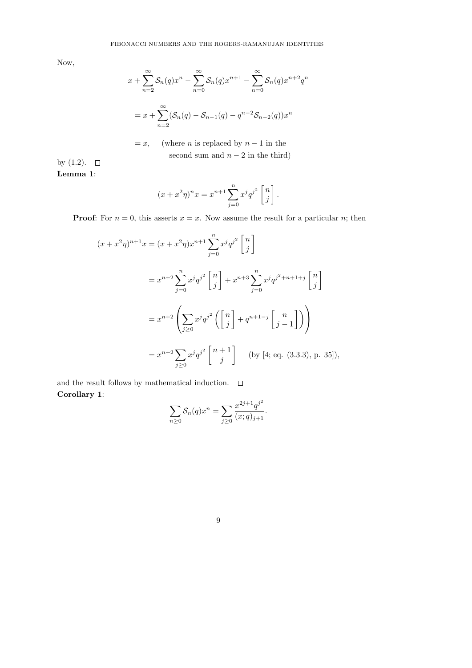Now,

$$
x + \sum_{n=2}^{\infty} S_n(q)x^n - \sum_{n=0}^{\infty} S_n(q)x^{n+1} - \sum_{n=0}^{\infty} S_n(q)x^{n+2}q^n
$$
  
=  $x + \sum_{n=2}^{\infty} (S_n(q) - S_{n-1}(q) - q^{n-2}S_{n-2}(q))x^n$ 

 $= x,$  (where *n* is replaced by  $n - 1$  in the second sum and  $n-2$  in the third)

by  $(1.2)$ .  $\Box$ Lemma 1:

$$
(x + x^{2}\eta)^{n}x = x^{n+1} \sum_{j=0}^{n} x^{j} q^{j^{2}} \begin{bmatrix} n \\ j \end{bmatrix}.
$$

**Proof:** For  $n = 0$ , this asserts  $x = x$ . Now assume the result for a particular n; then

$$
(x+x^2\eta)^{n+1}x = (x+x^2\eta)x^{n+1} \sum_{j=0}^n x^j q^{j^2} \begin{bmatrix} n \\ j \end{bmatrix}
$$
  
=  $x^{n+2} \sum_{j=0}^n x^j q^{j^2} \begin{bmatrix} n \\ j \end{bmatrix} + x^{n+3} \sum_{j=0}^n x^j q^{j^2+n+1+j} \begin{bmatrix} n \\ j \end{bmatrix}$   
=  $x^{n+2} \left( \sum_{j\geq 0} x^j q^{j^2} \left( \begin{bmatrix} n \\ j \end{bmatrix} + q^{n+1-j} \begin{bmatrix} n \\ j-1 \end{bmatrix} \right) \right)$   
=  $x^{n+2} \sum_{j\geq 0} x^j q^{j^2} \begin{bmatrix} n+1 \\ j \end{bmatrix}$  (by [4; eq. (3.3.3), p. 35]),

and the result follows by mathematical induction.  $\qed$ Corollary 1:

$$
\sum_{n\geq 0} \mathcal{S}_n(q) x^n = \sum_{j\geq 0} \frac{x^{2j+1} q^{j^2}}{(x;q)_{j+1}}.
$$

| ۰,     | ٠       |   |  |
|--------|---------|---|--|
|        |         |   |  |
| ×<br>i | I       |   |  |
| ٠      | ۰.<br>٧ | ć |  |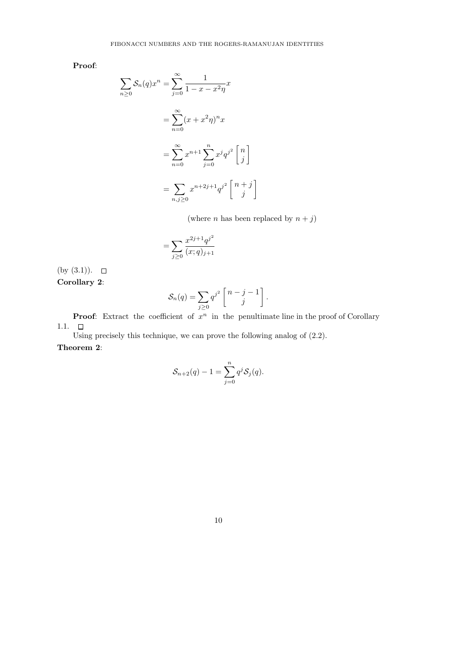Proof:

$$
\sum_{n\geq 0} \mathcal{S}_n(q)x^n = \sum_{j=0}^{\infty} \frac{1}{1 - x - x^2 \eta} x
$$

$$
= \sum_{n=0}^{\infty} (x + x^2 \eta)^n x
$$

$$
= \sum_{n=0}^{\infty} x^{n+1} \sum_{j=0}^n x^j q^{j^2} \begin{bmatrix} n \\ j \end{bmatrix}
$$

$$
= \sum_{n,j\geq 0} x^{n+2j+1} q^{j^2} \begin{bmatrix} n+j \\ j \end{bmatrix}
$$

(where  $n$  has been replaced by  $n + j$ )

$$
= \sum_{j\geq 0} \frac{x^{2j+1}q^{j^2}}{(x;q)_{j+1}}
$$

(by  $(3.1)$ ).  $\Box$ Corollary 2:

$$
\mathcal{S}_n(q) = \sum_{j\geq 0} q^{j^2} \begin{bmatrix} n-j-1 \\ j \end{bmatrix}.
$$

**Proof:** Extract the coefficient of  $x^n$  in the penultimate line in the proof of Corollary 1.1.  $\Box$ 

Using precisely this technique, we can prove the following analog of (2.2). Theorem 2:

$$
\mathcal{S}_{n+2}(q) - 1 = \sum_{j=0}^{n} q^j \mathcal{S}_j(q).
$$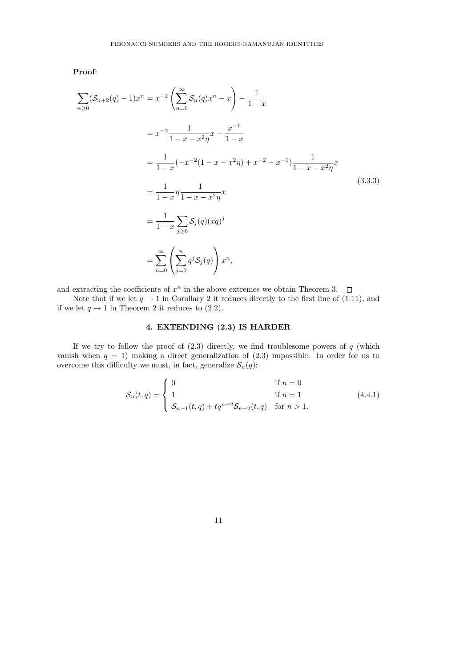Proof:

$$
\sum_{n\geq 0} (\mathcal{S}_{n+2}(q) - 1)x^n = x^{-2} \left( \sum_{n=0}^{\infty} \mathcal{S}_n(q)x^n - x \right) - \frac{1}{1-x}
$$
  
\n
$$
= x^{-2} \frac{1}{1 - x - x^2 \eta} x - \frac{x^{-1}}{1 - x}
$$
  
\n
$$
= \frac{1}{1 - x} (-x^{-2} (1 - x - x^2 \eta) + x^{-2} - x^{-1}) \frac{1}{1 - x - x^2 \eta} x
$$
  
\n
$$
= \frac{1}{1 - x} \eta \frac{1}{1 - x - x^2 \eta}
$$
  
\n
$$
= \frac{1}{1 - x} \sum_{j \geq 0} \mathcal{S}_j(q) (xq)^j
$$
  
\n
$$
= \sum_{n=0}^{\infty} \left( \sum_{j=0}^n q^j \mathcal{S}_j(q) \right) x^n,
$$
 (3.3.3)

and extracting the coefficients of  $x^n$  in the above extremes we obtain Theorem 3.

Note that if we let  $q \to 1$  in Corollary 2 it reduces directly to the first line of (1.11), and if we let  $q \to 1$  in Theorem 2 it reduces to (2.2).

# 4. EXTENDING (2.3) IS HARDER

If we try to follow the proof of  $(2.3)$  directly, we find troublesome powers of  $q$  (which vanish when  $q = 1$ ) making a direct generalization of  $(2.3)$  impossible. In order for us to overcome this difficulty we must, in fact, generalize  $S_n(q)$ :

$$
S_n(t,q) = \begin{cases} 0 & \text{if } n = 0\\ 1 & \text{if } n = 1\\ S_{n-1}(t,q) + tq^{n-2}S_{n-2}(t,q) & \text{for } n > 1. \end{cases}
$$
(4.4.1)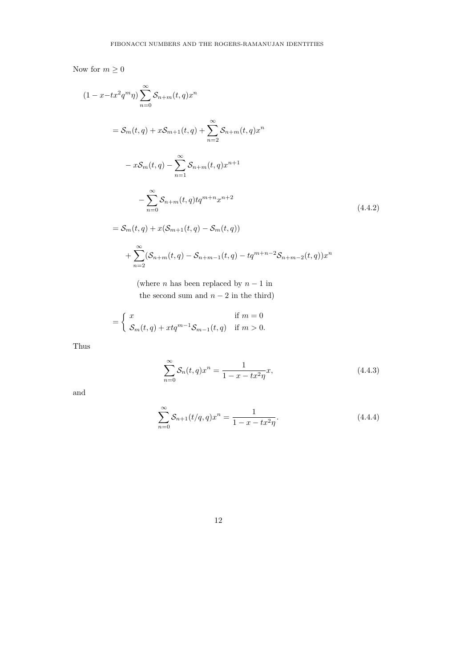Now for  $m\geq 0$ 

$$
(1 - x - tx^2 q^m \eta) \sum_{n=0}^{\infty} S_{n+m}(t, q) x^n
$$
  
=  $S_m(t, q) + x S_{m+1}(t, q) + \sum_{n=2}^{\infty} S_{n+m}(t, q) x^n$   
 $- x S_m(t, q) - \sum_{n=1}^{\infty} S_{n+m}(t, q) x^{n+1}$   
 $- \sum_{n=0}^{\infty} S_{n+m}(t, q) t q^{m+n} x^{n+2}$   
=  $S_m(t, q) + x (S_{m+1}(t, q) - S_m(t, q))$   
 $+ \sum_{n=2}^{\infty} (S_{n+m}(t, q) - S_{n+m-1}(t, q) - t q^{m+n-2} S_{n+m-2}(t, q)) x^n$  (4.4.2)

(where n has been replaced by  $n-1$  in the second sum and  $n-2$  in the third)

$$
= \begin{cases} x & \text{if } m = 0\\ \mathcal{S}_m(t,q) + xtq^{m-1}\mathcal{S}_{m-1}(t,q) & \text{if } m > 0. \end{cases}
$$

Thus

$$
\sum_{n=0}^{\infty} S_n(t, q) x^n = \frac{1}{1 - x - tx^2 \eta} x,
$$
\n(4.4.3)

and

$$
\sum_{n=0}^{\infty} S_{n+1}(t/q, q)x^n = \frac{1}{1 - x - tx^2\eta}.
$$
\n(4.4.4)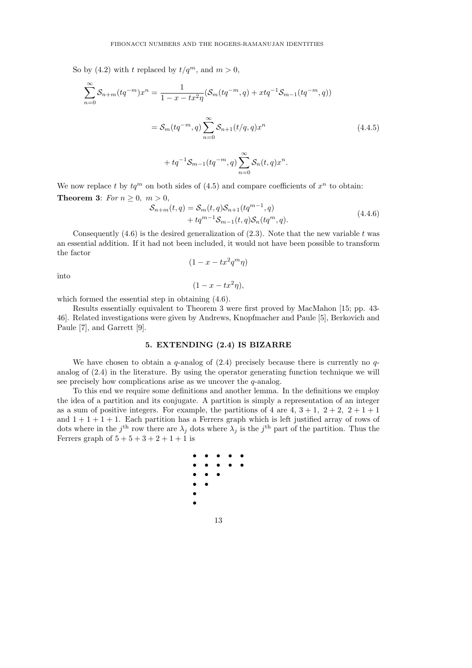So by (4.2) with t replaced by  $t/q^m$ , and  $m > 0$ ,

$$
\sum_{n=0}^{\infty} S_{n+m}(tq^{-m})x^n = \frac{1}{1-x-tx^2\eta} (S_m(tq^{-m},q) + xtq^{-1}S_{m-1}(tq^{-m},q))
$$
  

$$
= S_m(tq^{-m},q) \sum_{n=0}^{\infty} S_{n+1}(t/q,q)x^n
$$
  

$$
+ tq^{-1}S_{m-1}(tq^{-m},q) \sum_{n=0}^{\infty} S_n(t,q)x^n.
$$
 (4.4.5)

We now replace t by  $tq^m$  on both sides of (4.5) and compare coefficients of  $x^n$  to obtain: Theorem 3: For  $n \geq 0$ ,  $m > 0$ ,

$$
S_{n+m}(t,q) = S_m(t,q)S_{n+1}(tq^{m-1},q)
$$
  
+  $tq^{m-1}S_{m-1}(t,q)S_n(tq^m,q)$ . (4.4.6)

Consequently  $(4.6)$  is the desired generalization of  $(2.3)$ . Note that the new variable t was an essential addition. If it had not been included, it would not have been possible to transform the factor

$$
(1 - x - tx^2 q^m \eta)
$$

into

$$
(1 - x - tx^2\eta),
$$

which formed the essential step in obtaining (4.6).

Results essentially equivalent to Theorem 3 were first proved by MacMahon [15; pp. 43- 46]. Related investigations were given by Andrews, Knopfmacher and Paule [5], Berkovich and Paule [7], and Garrett [9].

### 5. EXTENDING (2.4) IS BIZARRE

We have chosen to obtain a q-analog of  $(2.4)$  precisely because there is currently no qanalog of (2.4) in the literature. By using the operator generating function technique we will see precisely how complications arise as we uncover the *q*-analog.

To this end we require some definitions and another lemma. In the definitions we employ the idea of a partition and its conjugate. A partition is simply a representation of an integer as a sum of positive integers. For example, the partitions of 4 are  $4, 3+1, 2+2, 2+1+1$ and  $1 + 1 + 1 + 1$ . Each partition has a Ferrers graph which is left justified array of rows of dots where in the j<sup>th</sup> row there are  $\lambda_j$  dots where  $\lambda_j$  is the j<sup>th</sup> part of the partition. Thus the Ferrers graph of  $5 + 5 + 3 + 2 + 1 + 1$  is

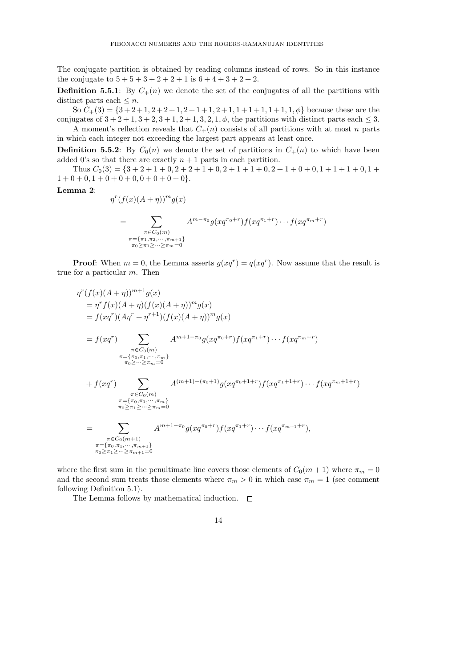The conjugate partition is obtained by reading columns instead of rows. So in this instance the conjugate to  $5 + 5 + 3 + 2 + 2 + 1$  is  $6 + 4 + 3 + 2 + 2$ .

**Definition 5.5.1**: By  $C_+(n)$  we denote the set of the conjugates of all the partitions with distinct parts each  $\leq n$ .

So  $C_{+}(3) = \{3+2+1, 2+2+1, 2+1+1, 2+1, 1+1+1, 1+1, 1, \phi\}$  because these are the conjugates of  $3 + 2 + 1$ ,  $3 + 2$ ,  $3 + 1$ ,  $2 + 1$ ,  $3$ ,  $2$ ,  $1$ ,  $\phi$ , the partitions with distinct parts each  $\leq 3$ .

A moment's reflection reveals that  $C_{+}(n)$  consists of all partitions with at most n parts in which each integer not exceeding the largest part appears at least once.

**Definition 5.5.2**: By  $C_0(n)$  we denote the set of partitions in  $C_+(n)$  to which have been added 0's so that there are exactly  $n + 1$  parts in each partition.

Thus  $C_0(3) = \{3+2+1+0, 2+2+1+0, 2+1+1+0, 2+1+0+0, 1+1+1+0, 1+1+1+0\}$  $1 + 0 + 0$ ,  $1 + 0 + 0 + 0$ ,  $0 + 0 + 0 + 0$ .

#### Lemma 2:

$$
\eta^{r}(f(x)(A + \eta))^{m}g(x)
$$
\n
$$
= \sum_{\substack{\pi \in C_{0}(m) \\ \pi = \{\pi_{1}, \pi_{2}, \cdots, \pi_{m+1}\} \\ \pi_{0} \geq \pi_{1} \geq \cdots \geq \pi_{m} = 0}} A^{m-\pi_{0}}g(xq^{\pi_{0}+r})f(xq^{\pi_{1}+r}) \cdots f(xq^{\pi_{m}+r})
$$

**Proof:** When  $m = 0$ , the Lemma asserts  $g(xq^r) = q(xq^r)$ . Now assume that the result is true for a particular m. Then

$$
\eta^{r}(f(x)(A+\eta))^{m+1}g(x)
$$
\n
$$
= \eta^{r}f(x)(A+\eta)(f(x)(A+\eta))^{m}g(x)
$$
\n
$$
= f(xq^{r})(A\eta^{r} + \eta^{r+1})(f(x)(A+\eta))^{m}g(x)
$$
\n
$$
= f(xq^{r}) \sum_{\substack{\pi \in C_{0}(m) \\ \pi = \{\pi_{0}, \pi_{1}, \dots, \pi_{m}\} \\ \pi_{0} \geq \dots \geq \pi_{m} = 0}} A^{m+1-\pi_{0}}g(xq^{\pi_{0}+r})f(xq^{\pi_{1}+r}) \cdots f(xq^{\pi_{m}+r})
$$
\n
$$
+ f(xq^{r}) \sum_{\substack{\pi \in C_{0}(m) \\ \pi = \{\pi_{0}, \pi_{1}, \dots, \pi_{m}\} \\ \pi_{0} \geq \pi_{1} \geq \dots \geq \pi_{m} = 0}} A^{(m+1)-(\pi_{0}+1)}g(xq^{\pi_{0}+1+r})f(xq^{\pi_{1}+1+r}) \cdots f(xq^{\pi_{m}+1+r})
$$
\n
$$
= \sum_{\substack{\pi \in C_{0}(m+1) \\ \pi = \{\pi_{0}, \pi_{1}, \dots, \pi_{m+1}\} \\ \pi_{0} \geq \pi_{1} \geq \dots \geq \pi_{m+1} = 0}} A^{m+1-\pi_{0}}g(xq^{\pi_{0}+r})f(xq^{\pi_{1}+r}) \cdots f(xq^{\pi_{m+1}+r}),
$$

where the first sum in the penultimate line covers those elements of  $C_0(m+1)$  where  $\pi_m = 0$ and the second sum treats those elements where  $\pi_m > 0$  in which case  $\pi_m = 1$  (see comment following Definition 5.1).

The Lemma follows by mathematical induction.  $\Box$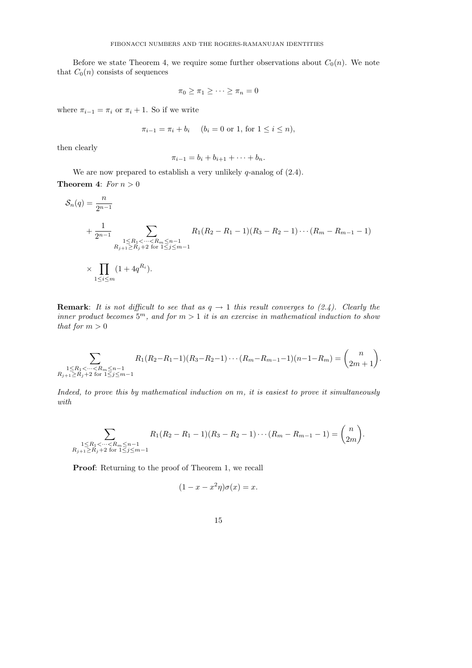Before we state Theorem 4, we require some further observations about  $C_0(n)$ . We note that  $C_0(n)$  consists of sequences

$$
\pi_0 \ge \pi_1 \ge \cdots \ge \pi_n = 0
$$

where  $\pi_{i-1} = \pi_i$  or  $\pi_i + 1$ . So if we write

$$
\pi_{i-1} = \pi_i + b_i \quad (b_i = 0 \text{ or } 1, \text{ for } 1 \le i \le n),
$$

then clearly

$$
\pi_{i-1} = b_i + b_{i+1} + \cdots + b_n.
$$

We are now prepared to establish a very unlikely  $q$ -analog of  $(2.4)$ . **Theorem 4:** For  $n > 0$ 

$$
S_n(q) = \frac{n}{2^{n-1}}
$$
  
+  $\frac{1}{2^{n-1}}$   
+  $\frac{1}{2^{n-1}}$   
 $R_1(X_2 - R_1 - 1)(R_3 - R_2 - 1) \cdots (R_m - R_{m-1} - 1)$   
 $R_{j+1} \ge R_j + 2$  for  $1 \le j \le m-1$   
 $\times \prod_{1 \le i \le m} (1 + 4q^{R_i}).$ 

**Remark:** It is not difficult to see that as  $q \rightarrow 1$  this result converges to (2.4). Clearly the inner product becomes  $5^m$ , and for  $m > 1$  it is an exercise in mathematical induction to show that for  $m > 0$ 

$$
\sum_{\substack{1 \le R_1 < \dots < R_m \leq n-1 \\ R_{j+1} \geq R_j + 2 \text{ for } 1 \leq j \leq m-1}} R_1(R_2 - R_1 - 1)(R_3 - R_2 - 1) \cdots (R_m - R_{m-1} - 1)(n-1 - R_m) = \binom{n}{2m+1}.
$$

Indeed, to prove this by mathematical induction on m, it is easiest to prove it simultaneously with

$$
\sum_{\substack{1 \le R_1 < \dots < R_m \leq n-1 \\ R_{j+1} \geq R_j + 2 \text{ for } 1 \leq j \leq m-1}} R_1(R_2 - R_1 - 1)(R_3 - R_2 - 1) \cdots (R_m - R_{m-1} - 1) = \binom{n}{2m}.
$$

Proof: Returning to the proof of Theorem 1, we recall

$$
(1 - x - x^2 \eta)\sigma(x) = x.
$$

15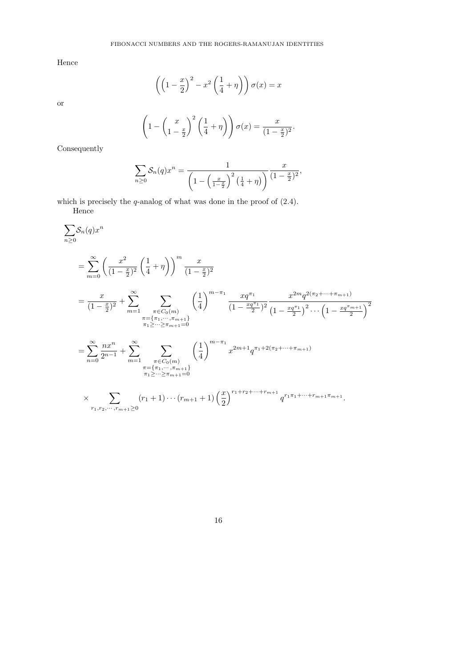Hence

or

$$
\left( \left( 1 - \frac{x}{2} \right)^2 - x^2 \left( \frac{1}{4} + \eta \right) \right) \sigma(x) = x
$$

$$
\left(1 - \left(\frac{x}{1-\frac{x}{2}}\right)^2 \left(\frac{1}{4} + \eta\right)\right) \sigma(x) = \frac{x}{(1-\frac{x}{2})^2}.
$$

Consequently

$$
\sum_{n\geq 0} \mathcal{S}_n(q) x^n = \frac{1}{\left(1 - \left(\frac{x}{1 - \frac{x}{2}}\right)^2 \left(\frac{1}{4} + \eta\right)\right)} \frac{x}{(1 - \frac{x}{2})^2},
$$

which is precisely the q-analog of what was done in the proof of  $(2.4)$ .

Hence

$$
\sum_{m\geq 0} S_n(q)x^n
$$
\n
$$
= \sum_{m=0}^{\infty} \left(\frac{x^2}{(1-\frac{x}{2})^2} \left(\frac{1}{4}+\eta\right)\right)^m \frac{x}{(1-\frac{x}{2})^2}
$$
\n
$$
= \frac{x}{(1-\frac{x}{2})^2} + \sum_{m=1}^{\infty} \sum_{\substack{\pi \in C_0(m) \\ \pi = \{\pi_1, \dots, \pi_{m+1}\} \\ \pi_1 \geq \dots \geq \pi_{m+1} = 0}} \left(\frac{1}{4}\right)^{m-\pi_1} \frac{xq^{\pi_1}}{(1-\frac{xq^{\pi_1}}{2})^2} \frac{x^{2m}q^{2(\pi_2+\dots+\pi_{m+1})}}{(1-\frac{xq^{\pi_1}}{2})^2 \dots \left(1-\frac{xq^{\pi_{m+1}}}{2}\right)^2}
$$
\n
$$
= \sum_{n=0}^{\infty} \frac{nx^n}{2^{n-1}} + \sum_{m=1}^{\infty} \sum_{\substack{\pi \in C_0(m) \\ \pi = \{\pi_1, \dots, \pi_{m+1}\} \\ \pi_1 \geq \dots \geq \pi_{m+1} = 0}} \left(\frac{1}{4}\right)^{m-\pi_1} x^{2m+1} q^{\pi_1+2(\pi_2+\dots+\pi_{m+1})}
$$
\n
$$
\times \sum_{\substack{\pi_1, \pi_2, \dots, \pi_{m+1} \geq 0}} (r_1+1)\dots(r_{m+1}+1) \left(\frac{x}{2}\right)^{r_1+r_2+\dots+r_{m+1}} q^{r_1\pi_1+\dots+r_{m+1}\pi_{m+1}}.
$$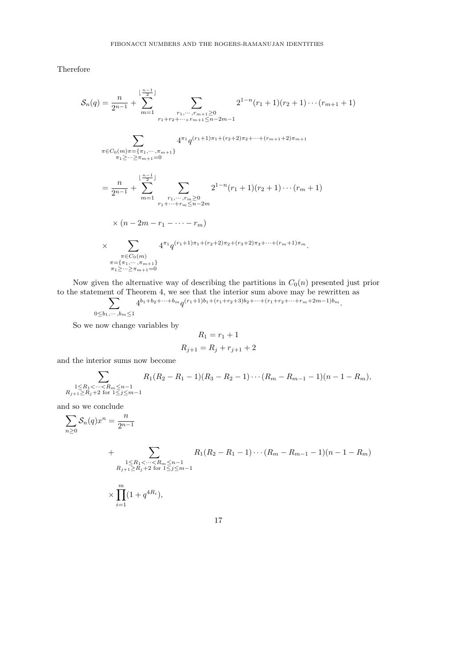Therefore

$$
\mathcal{S}_n(q) = \frac{n}{2^{n-1}} + \sum_{m=1}^{\lfloor \frac{n-1}{2} \rfloor} \sum_{\substack{r_1, \dots, r_{m+1} \ge 0 \\ r_1 + r_2 + \dots + r_{m+1} \le n-2m-1}} \sum_{\substack{r_1 + r_2 + \dots + r_{m+1} \le n-2m-1 \\ \pi \ge \dots \ge \pi_{m+1} = 0}} 2^{1-n}(r_1 + 1)(r_2 + 1) \cdots (r_{m+1} + 1)
$$
\n
$$
\sum_{\substack{\pi \in C_0(m), \pi = \{\pi_1, \dots, \pi_{m+1}\} \\ r_1 + \dots + r_m \ge 0}} \frac{4^{\pi_1} q^{(r_1 + 1)\pi_1 + (r_2 + 2)\pi_2 + \dots + (r_{m+1} + 2)\pi_{m+1}}}{2^{1-n}(r_1 + 1)(r_2 + 1) \cdots (r_m + 1)}
$$
\n
$$
\times (n - 2m - r_1 - \dots - r_m)
$$
\n
$$
\times \sum_{\substack{\pi \in C_0(m) \\ \pi = \{\pi_1, \dots, \pi_{m+1}\} \\ \pi_1 \ge \dots \ge \pi_{m+1} = 0}} 4^{\pi_1} q^{(r_1 + 1)\pi_1 + (r_2 + 2)\pi_2 + (r_3 + 2)\pi_3 + \dots + (r_m + 1)\pi_m}.
$$

Now given the alternative way of describing the partitions in  $C_0(n)$  presented just prior to the statement of Theorem 4, we see that the interior sum above may be rewritten as

 $\sum_{j=1}^{n} \frac{4^{b_1+b_2+\cdots+b_m} q^{(r_1+1)b_1+(r_1+r_2+3)b_2+\cdots+(r_1+r_2+\cdots+r_m+2m-1)b_m}}{r_1!r_2!r_3!r_4!r_5!r_6!r_7!r_8!r_9!r_0!r_1!r_0!r_1!r_2!r_0!r_1!r_2!r_0!r_1!r_2!r_0!r_1!r_2!r_0!r_1!r_2!r_0!r_1!r_2!r_0!r_1!r_2!r_0!r_1!r_0!r_1!r_$ 

$$
\underbrace{0 \leq b_1, \cdots, b_m \leq 1}
$$

So we now change variables by

$$
R_1=r_1+1
$$

$$
R_{j+1} = R_j + r_{j+1} + 2
$$

and the interior sums now become

$$
\sum_{\substack{1 \le R_1 < \dots < R_m \le n-1 \\ R_{j+1} \ge R_j + 2 \text{ for } 1 \le j \le m-1}} R_1(R_2 - R_1 - 1)(R_3 - R_2 - 1) \cdots (R_m - R_{m-1} - 1)(n - 1 - R_m),
$$

and so we conclude

$$
\sum_{n\geq 0} \mathcal{S}_n(q) x^n = \frac{n}{2^{n-1}}
$$

+ 
$$
\sum_{\substack{1 \leq R_1 < \dots < R_m \leq n-1 \\ R_{j+1} \geq R_j + 2 \text{ for } 1 \leq j \leq m-1}} R_1(R_2 - R_1 - 1) \cdots (R_m - R_{m-1} - 1)(n - 1 - R_m)
$$
  
 
$$
\times \prod_{i=1}^m (1 + q^{4R_i}),
$$
 17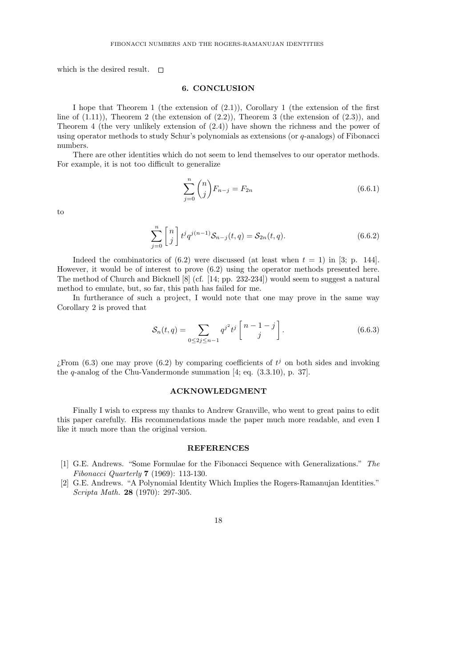which is the desired result.  $\square$ 

## 6. CONCLUSION

I hope that Theorem 1 (the extension of (2.1)), Corollary 1 (the extension of the first line of  $(1.11)$ ), Theorem 2 (the extension of  $(2.2)$ ), Theorem 3 (the extension of  $(2.3)$ ), and Theorem 4 (the very unlikely extension of (2.4)) have shown the richness and the power of using operator methods to study Schur's polynomials as extensions (or q-analogs) of Fibonacci numbers.

There are other identities which do not seem to lend themselves to our operator methods. For example, it is not too difficult to generalize

$$
\sum_{j=0}^{n} \binom{n}{j} F_{n-j} = F_{2n} \tag{6.6.1}
$$

to

$$
\sum_{j=0}^{n} \begin{bmatrix} n \\ j \end{bmatrix} t^j q^{j(n-1)} \mathcal{S}_{n-j}(t, q) = \mathcal{S}_{2n}(t, q). \tag{6.6.2}
$$

Indeed the combinatorics of  $(6.2)$  were discussed (at least when  $t = 1$ ) in [3; p. 144]. However, it would be of interest to prove (6.2) using the operator methods presented here. The method of Church and Bicknell [8] (cf. [14; pp. 232-234]) would seem to suggest a natural method to emulate, but, so far, this path has failed for me.

In furtherance of such a project, I would note that one may prove in the same way Corollary 2 is proved that

$$
S_n(t,q) = \sum_{0 \le 2j \le n-1} q^{j^2} t^j \begin{bmatrix} n-1-j \\ j \end{bmatrix}.
$$
 (6.6.3)

¿From (6.3) one may prove (6.2) by comparing coefficients of  $t^j$  on both sides and invoking the q-analog of the Chu-Vandermonde summation [4; eq. (3.3.10), p. 37].

#### ACKNOWLEDGMENT

Finally I wish to express my thanks to Andrew Granville, who went to great pains to edit this paper carefully. His recommendations made the paper much more readable, and even I like it much more than the original version.

#### **REFERENCES**

- [1] G.E. Andrews. "Some Formulae for the Fibonacci Sequence with Generalizations." The Fibonacci Quarterly 7 (1969): 113-130.
- [2] G.E. Andrews. "A Polynomial Identity Which Implies the Rogers-Ramanujan Identities." Scripta Math. 28 (1970): 297-305.

18